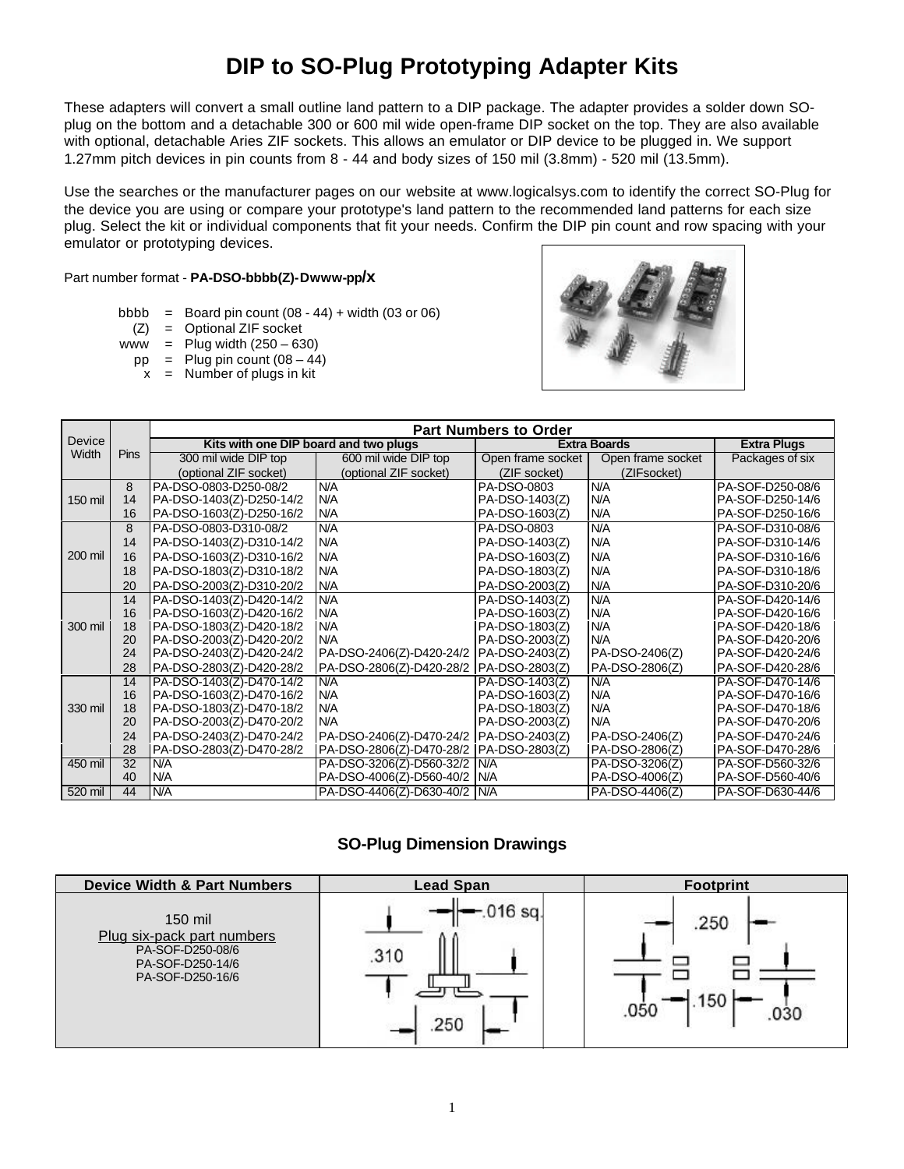## **DIP to SO-Plug Prototyping Adapter Kits**

These adapters will convert a small outline land pattern to a DIP package. The adapter provides a solder down SOplug on the bottom and a detachable 300 or 600 mil wide open-frame DIP socket on the top. They are also available with optional, detachable Aries ZIF sockets. This allows an emulator or DIP device to be plugged in. We support 1.27mm pitch devices in pin counts from 8 - 44 and body sizes of 150 mil (3.8mm) - 520 mil (13.5mm).

Use the searches or the manufacturer pages on our website at www.logicalsys.com to identify the correct SO-Plug for the device you are using or compare your prototype's land pattern to the recommended land patterns for each size plug. Select the kit or individual components that fit your needs. Confirm the DIP pin count and row spacing with your emulator or prototyping devices.

Part number format - **PA-DSO-bbbb(Z)-Dwww-pp/x**

- bbbb = Board pin count  $(08 44) + \text{width}$  (03 or 06)
	- (Z) = Optional ZIF socket
- www = Plug width  $(250 630)$
- $pp =$  Plug pin count  $(08 44)$
- $x =$  Number of plugs in kit



|                        |                 | <b>Part Numbers to Order</b>          |                                           |                     |                   |                    |
|------------------------|-----------------|---------------------------------------|-------------------------------------------|---------------------|-------------------|--------------------|
| <b>Device</b><br>Width |                 | Kits with one DIP board and two plugs |                                           | <b>Extra Boards</b> |                   | <b>Extra Plugs</b> |
|                        | Pins            | 300 mil wide DIP top                  | 600 mil wide DIP top                      | Open frame socket   | Open frame socket | Packages of six    |
|                        |                 | (optional ZIF socket)                 | (optional ZIF socket)                     | (ZIF socket)        | (ZIFsocket)       |                    |
|                        | 8               | PA-DSO-0803-D250-08/2                 | N/A                                       | PA-DSO-0803         | N/A               | PA-SOF-D250-08/6   |
| 150 mil                | 14              | PA-DSO-1403(Z)-D250-14/2              | N/A                                       | PA-DSO-1403(Z)      | N/A               | PA-SOF-D250-14/6   |
|                        | 16              | PA-DSO-1603(Z)-D250-16/2              | N/A                                       | PA-DSO-1603(Z)      | N/A               | PA-SOF-D250-16/6   |
|                        | 8               | PA-DSO-0803-D310-08/2                 | N/A                                       | PA-DSO-0803         | N/A               | PA-SOF-D310-08/6   |
|                        | 14              | PA-DSO-1403(Z)-D310-14/2              | N/A                                       | PA-DSO-1403(Z)      | N/A               | PA-SOF-D310-14/6   |
| 200 mil                | 16              | PA-DSO-1603(Z)-D310-16/2              | N/A                                       | PA-DSO-1603(Z)      | N/A               | PA-SOF-D310-16/6   |
|                        | 18              | PA-DSO-1803(Z)-D310-18/2              | N/A                                       | PA-DSO-1803(Z)      | N/A               | PA-SOF-D310-18/6   |
|                        | 20              | PA-DSO-2003(Z)-D310-20/2              | N/A                                       | PA-DSO-2003(Z)      | N/A               | PA-SOF-D310-20/6   |
|                        | 14              | PA-DSO-1403(Z)-D420-14/2              | N/A                                       | PA-DSO-1403(Z)      | N/A               | PA-SOF-D420-14/6   |
|                        | 16              | PA-DSO-1603(Z)-D420-16/2              | N/A                                       | PA-DSO-1603(Z)      | N/A               | PA-SOF-D420-16/6   |
| 300 mil                | 18              | PA-DSO-1803(Z)-D420-18/2              | N/A                                       | PA-DSO-1803(Z)      | N/A               | PA-SOF-D420-18/6   |
|                        | 20              | PA-DSO-2003(Z)-D420-20/2              | N/A                                       | PA-DSO-2003(Z)      | N/A               | PA-SOF-D420-20/6   |
|                        | 24              | PA-DSO-2403(Z)-D420-24/2              | PA-DSO-2406(Z)-D420-24/2                  | PA-DSO-2403(Z)      | PA-DSO-2406(Z)    | PA-SOF-D420-24/6   |
|                        | 28              | PA-DSO-2803(Z)-D420-28/2              | PA-DSO-2806(Z)-D420-28/2   PA-DSO-2803(Z) |                     | PA-DSO-2806(Z)    | PA-SOF-D420-28/6   |
|                        | 14              | PA-DSO-1403(Z)-D470-14/2              | N/A                                       | PA-DSO-1403(Z)      | N/A               | PA-SOF-D470-14/6   |
|                        | 16              | PA-DSO-1603(Z)-D470-16/2              | N/A                                       | PA-DSO-1603(Z)      | N/A               | PA-SOF-D470-16/6   |
| 330 mil                | 18              | PA-DSO-1803(Z)-D470-18/2              | N/A                                       | PA-DSO-1803(Z)      | N/A               | PA-SOF-D470-18/6   |
|                        | 20              | PA-DSO-2003(Z)-D470-20/2              | N/A                                       | PA-DSO-2003(Z)      | N/A               | PA-SOF-D470-20/6   |
|                        | 24              | PA-DSO-2403(Z)-D470-24/2              | PA-DSO-2406(Z)-D470-24/2                  | PA-DSO-2403(Z)      | PA-DSO-2406(Z)    | PA-SOF-D470-24/6   |
|                        | 28              | PA-DSO-2803(Z)-D470-28/2              | PA-DSO-2806(Z)-D470-28/2                  | PA-DSO-2803(Z)      | PA-DSO-2806(Z)    | PA-SOF-D470-28/6   |
| 450 mil                | $\overline{32}$ | N/A                                   | PA-DSO-3206(Z)-D560-32/2                  | N/A                 | PA-DSO-3206(Z)    | PA-SOF-D560-32/6   |
|                        | 40              | N/A                                   | PA-DSO-4006(Z)-D560-40/2                  | N/A                 | PA-DSO-4006(Z)    | PA-SOF-D560-40/6   |
| 520 mil                | 44              | N/A                                   | PA-DSO-4406(Z)-D630-40/2                  | N/A                 | PA-DSO-4406(Z)    | PA-SOF-D630-44/6   |

## **SO-Plug Dimension Drawings**